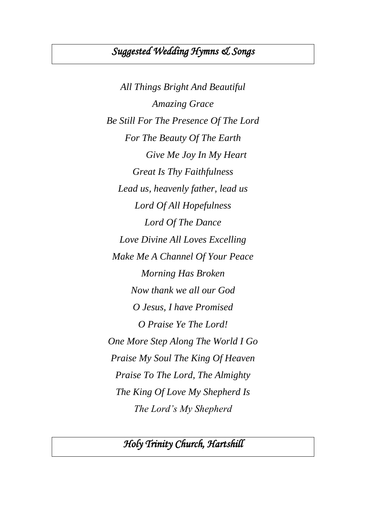# *Suggested Wedding Hymns & Songs*

*All Things Bright And Beautiful Amazing Grace Be Still For The Presence Of The Lord For The Beauty Of The Earth Give Me Joy In My Heart Great Is Thy Faithfulness Lead us, heavenly father, lead us Lord Of All Hopefulness Lord Of The Dance Love Divine All Loves Excelling Make Me A Channel Of Your Peace Morning Has Broken Now thank we all our God O Jesus, I have Promised O Praise Ye The Lord! One More Step Along The World I Go Praise My Soul The King Of Heaven Praise To The Lord, The Almighty The King Of Love My Shepherd Is The Lord's My Shepherd*

*Holy Trinity Church, Hartshill*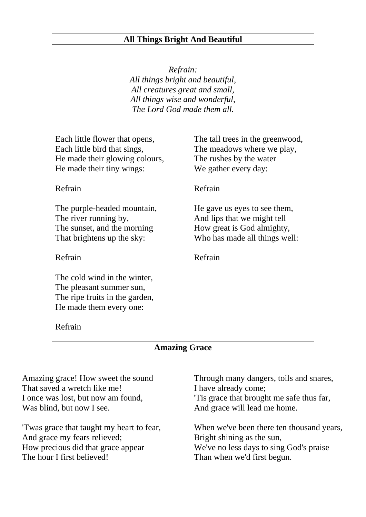### **All Things Bright And Beautiful**

*Refrain: All things bright and beautiful, All creatures great and small, All things wise and wonderful, The Lord God made them all.*

Each little flower that opens, Each little bird that sings, He made their glowing colours, He made their tiny wings:

Refrain

The purple-headed mountain, The river running by, The sunset, and the morning That brightens up the sky:

Refrain

The cold wind in the winter, The pleasant summer sun, The ripe fruits in the garden, He made them every one:

Refrain

### **Amazing Grace**

Amazing grace! How sweet the sound That saved a wretch like me! I once was lost, but now am found, Was blind, but now I see.

'Twas grace that taught my heart to fear, And grace my fears relieved; How precious did that grace appear The hour I first believed!

Through many dangers, toils and snares, I have already come; 'Tis grace that brought me safe thus far, And grace will lead me home.

When we've been there ten thousand years, Bright shining as the sun, We've no less days to sing God's praise Than when we'd first begun.

The meadows where we play, The rushes by the water We gather every day:

The tall trees in the greenwood,

Refrain

He gave us eyes to see them, And lips that we might tell How great is God almighty, Who has made all things well:

Refrain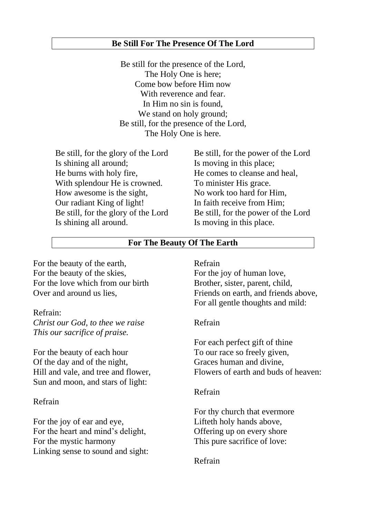### **Be Still For The Presence Of The Lord**

Be still for the presence of the Lord, The Holy One is here; Come bow before Him now With reverence and fear. In Him no sin is found, We stand on holy ground; Be still, for the presence of the Lord, The Holy One is here.

Be still, for the glory of the Lord Is shining all around; He burns with holy fire, With splendour He is crowned. How awesome is the sight, Our radiant King of light! Be still, for the glory of the Lord Is shining all around.

Be still, for the power of the Lord Is moving in this place; He comes to cleanse and heal, To minister His grace. No work too hard for Him, In faith receive from Him; Be still, for the power of the Lord Is moving in this place.

### **For The Beauty Of The Earth**

For the beauty of the earth, For the beauty of the skies, For the love which from our birth Over and around us lies Refrain: *Christ our God, to thee we raise This our sacrifice of praise.*  For the beauty of each hour Of the day and of the night, Hill and vale, and tree and flower, Sun and moon, and stars of light: Refrain For the joy of ear and eye, For the heart and mind's delight, For the mystic harmony Linking sense to sound and sight: Refrain For the joy of human love, Brother, sister, parent, child, Friends on earth, and friends above, For all gentle thoughts and mild: Refrain For each perfect gift of thine To our race so freely given, Graces human and divine, Flowers of earth and buds of heaven: Refrain For thy church that evermore Lifteth holy hands above, Offering up on every shore This pure sacrifice of love:

Refrain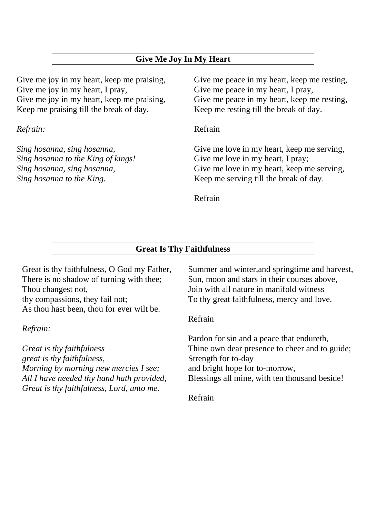# **Give Me Joy In My Heart**

Give me joy in my heart, keep me praising, Give me joy in my heart, I pray, Give me joy in my heart, keep me praising, Keep me praising till the break of day.

*Refrain:*

*Sing hosanna, sing hosanna, Sing hosanna to the King of kings! Sing hosanna, sing hosanna, Sing hosanna to the King.*

Give me peace in my heart, keep me resting, Give me peace in my heart, I pray, Give me peace in my heart, keep me resting, Keep me resting till the break of day.

### Refrain

Give me love in my heart, keep me serving, Give me love in my heart, I pray; Give me love in my heart, keep me serving, Keep me serving till the break of day.

Refrain

# **Great Is Thy Faithfulness**

Great is thy faithfulness, O God my Father, There is no shadow of turning with thee; Thou changest not, thy compassions, they fail not; As thou hast been, thou for ever wilt be.

*Refrain:*

*Great is thy faithfulness great is thy faithfulness, Morning by morning new mercies I see; All I have needed thy hand hath provided, Great is thy faithfulness, Lord, unto me.*

Summer and winter,and springtime and harvest, Sun, moon and stars in their courses above, Join with all nature in manifold witness To thy great faithfulness, mercy and love.

Refrain

Pardon for sin and a peace that endureth, Thine own dear presence to cheer and to guide; Strength for to-day and bright hope for to-morrow, Blessings all mine, with ten thousand beside!

Refrain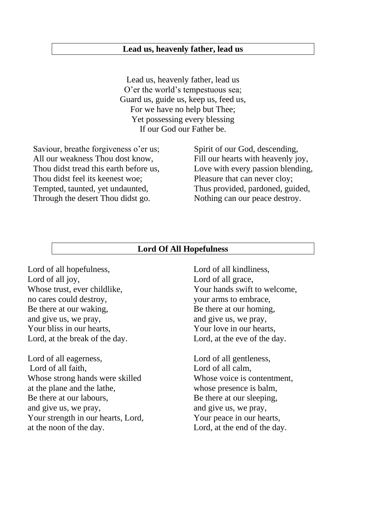#### **Lead us, heavenly father, lead us**

Lead us, heavenly father, lead us O'er the world's tempestuous sea; Guard us, guide us, keep us, feed us, For we have no help but Thee; Yet possessing every blessing If our God our Father be.

Saviour, breathe forgiveness o'er us; All our weakness Thou dost know, Thou didst tread this earth before us, Thou didst feel its keenest woe; Tempted, taunted, yet undaunted, Through the desert Thou didst go.

Spirit of our God, descending, Fill our hearts with heavenly joy, Love with every passion blending, Pleasure that can never cloy; Thus provided, pardoned, guided, Nothing can our peace destroy.

# Lord of all hopefulness, Lord of all joy, Whose trust, ever childlike, no cares could destroy, Be there at our waking, and give us, we pray, Your bliss in our hearts, Lord, at the break of the day.

Lord of all eagerness, Lord of all faith, Whose strong hands were skilled at the plane and the lathe, Be there at our labours, and give us, we pray, Your strength in our hearts, Lord, at the noon of the day.

Lord of all kindliness, Lord of all grace, Your hands swift to welcome, your arms to embrace, Be there at our homing, and give us, we pray, Your love in our hearts, Lord, at the eve of the day.

Lord of all gentleness, Lord of all calm, Whose voice is contentment, whose presence is balm, Be there at our sleeping, and give us, we pray, Your peace in our hearts, Lord, at the end of the day.

#### **Lord Of All Hopefulness**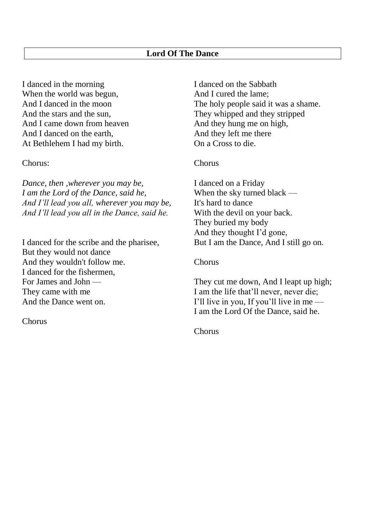I danced in the morning When the world was begun, And I danced in the moon And the stars and the sun, And I came down from heaven And I danced on the earth, At Bethlehem I had my birth.

### Chorus:

*Dance, then ,wherever you may be, I am the Lord of the Dance, said he, And I'll lead you all, wherever you may be, And I'll lead you all in the Dance, said he.*

I danced for the scribe and the pharisee, But they would not dance And they wouldn't follow me. I danced for the fishermen, For James and John — They came with me And the Dance went on.

Chorus

I danced on the Sabbath And I cured the lame; The holy people said it was a shame. They whipped and they stripped And they hung me on high, And they left me there On a Cross to die.

### Chorus

I danced on a Friday When the sky turned black — It's hard to dance With the devil on your back. They buried my body And they thought I'd gone, But I am the Dance, And I still go on.

### Chorus

They cut me down, And I leapt up high; I am the life that'll never, never die; I'll live in you, If you'll live in me — I am the Lord Of the Dance, said he.

Chorus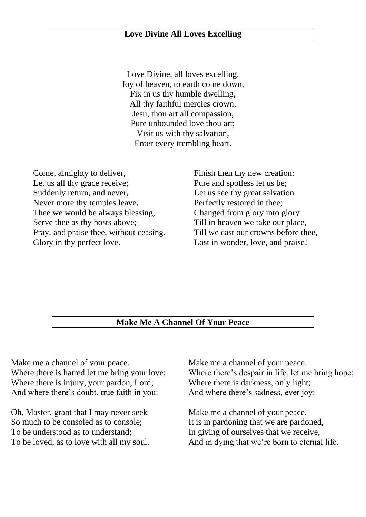### **Love Divine All Loves Excelling**

Love Divine, all loves excelling, Joy of heaven, to earth come down, Fix in us thy humble dwelling, All thy faithful mercies crown. Jesu, thou art all compassion, Pure unbounded love thou art; Visit us with thy salvation, Enter every trembling heart.

Come, almighty to deliver, Let us all thy grace receive; Suddenly return, and never, Never more thy temples leave. Thee we would be always blessing, Serve thee as thy hosts above; Pray, and praise thee, without ceasing, Glory in thy perfect love.

Finish then thy new creation: Pure and spotless let us be; Let us see thy great salvation Perfectly restored in thee; Changed from glory into glory Till in heaven we take our place, Till we cast our crowns before thee, Lost in wonder, love, and praise!

### **Make Me A Channel Of Your Peace**

Make me a channel of your peace. Where there is hatred let me bring your love; Where there is injury, your pardon, Lord; And where there's doubt, true faith in you:

Oh, Master, grant that I may never seek So much to be consoled as to console; To be understood as to understand; To be loved, as to love with all my soul. Make me a channel of your peace. Where there's despair in life, let me bring hope; Where there is darkness, only light; And where there's sadness, ever joy:

Make me a channel of your peace. It is in pardoning that we are pardoned, In giving of ourselves that we receive, And in dying that we're born to eternal life.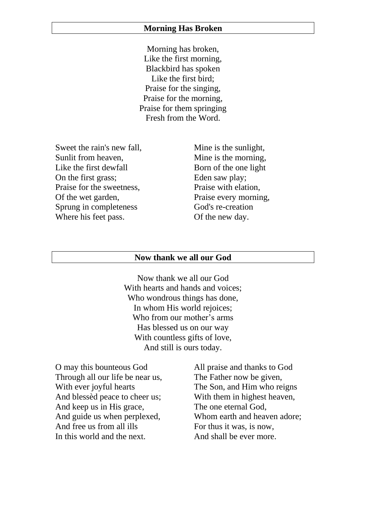### **Morning Has Broken**

Morning has broken, Like the first morning, Blackbird has spoken Like the first bird; Praise for the singing. Praise for the morning, Praise for them springing Fresh from the Word.

Sweet the rain's new fall, Sunlit from heaven, Like the first dewfall On the first grass; Praise for the sweetness, Of the wet garden, Sprung in completeness Where his feet pass.

Mine is the sunlight, Mine is the morning, Born of the one light Eden saw play; Praise with elation, Praise every morning, God's re-creation Of the new day.

#### **Now thank we all our God**

Now thank we all our God With hearts and hands and voices; Who wondrous things has done, In whom His world rejoices; Who from our mother's arms Has blessed us on our way With countless gifts of love, And still is ours today.

O may this bounteous God Through all our life be near us, With ever joyful hearts And blessèd peace to cheer us; And keep us in His grace, And guide us when perplexed, And free us from all ills In this world and the next.

All praise and thanks to God The Father now be given, The Son, and Him who reigns With them in highest heaven, The one eternal God, Whom earth and heaven adore; For thus it was, is now, And shall be ever more.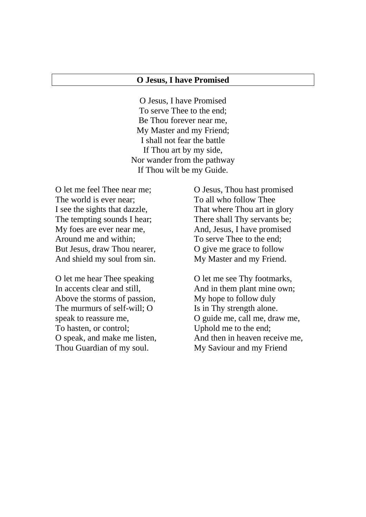#### **O Jesus, I have Promised**

O Jesus, I have Promised To serve Thee to the end; Be Thou forever near me, My Master and my Friend; I shall not fear the battle If Thou art by my side, Nor wander from the pathway If Thou wilt be my Guide.

O let me feel Thee near me; The world is ever near; I see the sights that dazzle, The tempting sounds I hear; My foes are ever near me, Around me and within; But Jesus, draw Thou nearer, And shield my soul from sin.

O let me hear Thee speaking In accents clear and still, Above the storms of passion, The murmurs of self-will; O speak to reassure me, To hasten, or control; O speak, and make me listen, Thou Guardian of my soul.

O Jesus, Thou hast promised To all who follow Thee That where Thou art in glory There shall Thy servants be; And, Jesus, I have promised To serve Thee to the end; O give me grace to follow My Master and my Friend.

O let me see Thy footmarks, And in them plant mine own; My hope to follow duly Is in Thy strength alone. O guide me, call me, draw me, Uphold me to the end; And then in heaven receive me, My Saviour and my Friend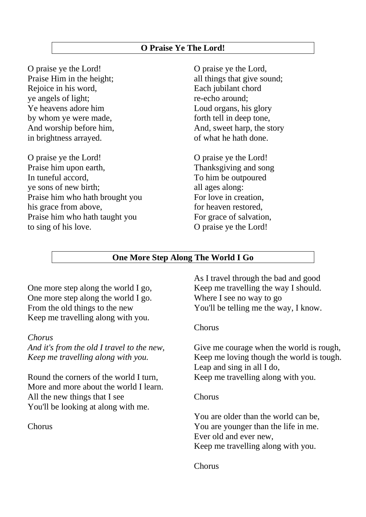### **O Praise Ye The Lord!**

O praise ye the Lord! Praise Him in the height; Rejoice in his word, ye angels of light; Ye heavens adore him by whom ye were made, And worship before him, in brightness arrayed.

O praise ye the Lord! Praise him upon earth, In tuneful accord, ye sons of new birth; Praise him who hath brought you his grace from above, Praise him who hath taught you to sing of his love.

O praise ye the Lord, all things that give sound; Each jubilant chord re-echo around; Loud organs, his glory forth tell in deep tone, And, sweet harp, the story of what he hath done.

O praise ye the Lord! Thanksgiving and song To him be outpoured all ages along: For love in creation, for heaven restored, For grace of salvation, O praise ye the Lord!

### **One More Step Along The World I Go**

One more step along the world I go, One more step along the world I go. From the old things to the new Keep me travelling along with you.

#### *Chorus*

*And it's from the old I travel to the new, Keep me travelling along with you.*

Round the corners of the world I turn, More and more about the world I learn. All the new things that I see You'll be looking at along with me.

Chorus

As I travel through the bad and good Keep me travelling the way I should. Where I see no way to go You'll be telling me the way, I know.

#### **Chorus**

Give me courage when the world is rough, Keep me loving though the world is tough. Leap and sing in all I do, Keep me travelling along with you.

### **Chorus**

You are older than the world can be, You are younger than the life in me. Ever old and ever new, Keep me travelling along with you.

Chorus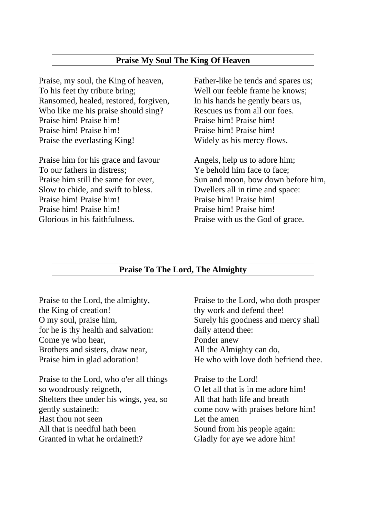### **Praise My Soul The King Of Heaven**

Praise, my soul, the King of heaven, To his feet thy tribute bring; Ransomed, healed, restored, forgiven, Who like me his praise should sing? Praise him! Praise him! Praise him! Praise him! Praise the everlasting King!

Praise him for his grace and favour To our fathers in distress; Praise him still the same for ever, Slow to chide, and swift to bless. Praise him! Praise him! Praise him! Praise him! Glorious in his faithfulness.

Father-like he tends and spares us; Well our feeble frame he knows; In his hands he gently bears us, Rescues us from all our foes. Praise him! Praise him! Praise him! Praise him! Widely as his mercy flows.

Angels, help us to adore him; Ye behold him face to face; Sun and moon, bow down before him, Dwellers all in time and space: Praise him! Praise him! Praise him! Praise him! Praise with us the God of grace.

### **Praise To The Lord, The Almighty**

Praise to the Lord, the almighty, the King of creation! O my soul, praise him, for he is thy health and salvation: Come ye who hear, Brothers and sisters, draw near, Praise him in glad adoration!

Praise to the Lord, who o'er all things so wondrously reigneth, Shelters thee under his wings, yea, so gently sustaineth: Hast thou not seen All that is needful hath been Granted in what he ordaineth?

Praise to the Lord, who doth prosper thy work and defend thee! Surely his goodness and mercy shall daily attend thee: Ponder anew All the Almighty can do, He who with love doth befriend thee.

Praise to the Lord! O let all that is in me adore him! All that hath life and breath come now with praises before him! Let the amen Sound from his people again: Gladly for aye we adore him!